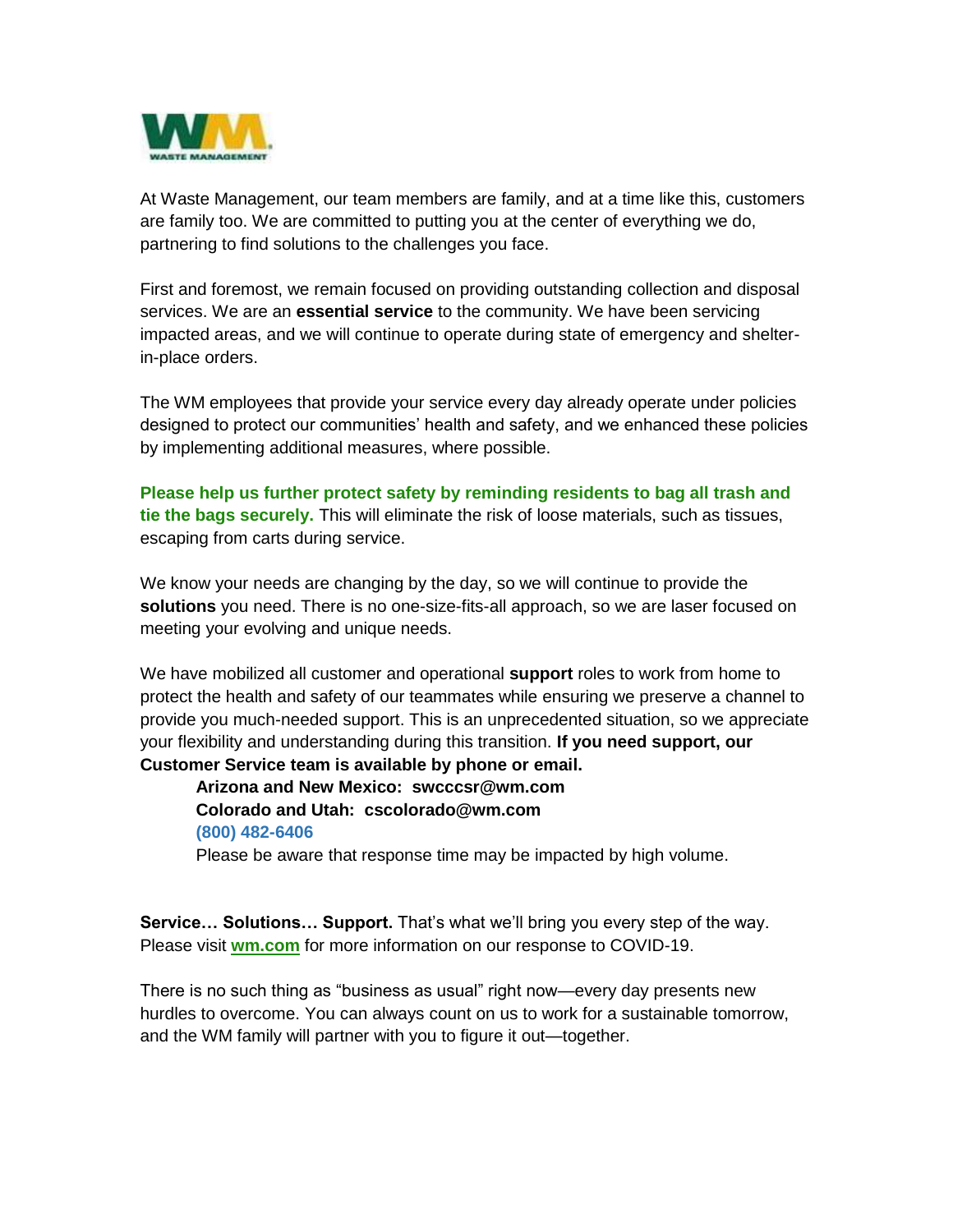

At Waste Management, our team members are family, and at a time like this, customers are family too. We are committed to putting you at the center of everything we do, partnering to find solutions to the challenges you face.

First and foremost, we remain focused on providing outstanding collection and disposal services. We are an **essential service** to the community. We have been servicing impacted areas, and we will continue to operate during state of emergency and shelterin-place orders.

The WM employees that provide your service every day already operate under policies designed to protect our communities' health and safety, and we enhanced these policies by implementing additional measures, where possible.

**Please help us further protect safety by reminding residents to bag all trash and tie the bags securely.** This will eliminate the risk of loose materials, such as tissues, escaping from carts during service.

We know your needs are changing by the day, so we will continue to provide the **solutions** you need. There is no one-size-fits-all approach, so we are laser focused on meeting your evolving and unique needs.

We have mobilized all customer and operational **support** roles to work from home to protect the health and safety of our teammates while ensuring we preserve a channel to provide you much-needed support. This is an unprecedented situation, so we appreciate your flexibility and understanding during this transition. **If you need support, our Customer Service team is available by phone or email.** 

**Arizona and New Mexico: swcccsr@wm.com Colorado and Utah: cscolorado@wm.com (800) 482-6406**

Please be aware that response time may be impacted by high volume.

**Service… Solutions… Support.** That's what we'll bring you every step of the way. Please visit **wm.com** for more information on our response to COVID-19.

There is no such thing as "business as usual" right now—every day presents new hurdles to overcome. You can always count on us to work for a sustainable tomorrow, and the WM family will partner with you to figure it out—together.